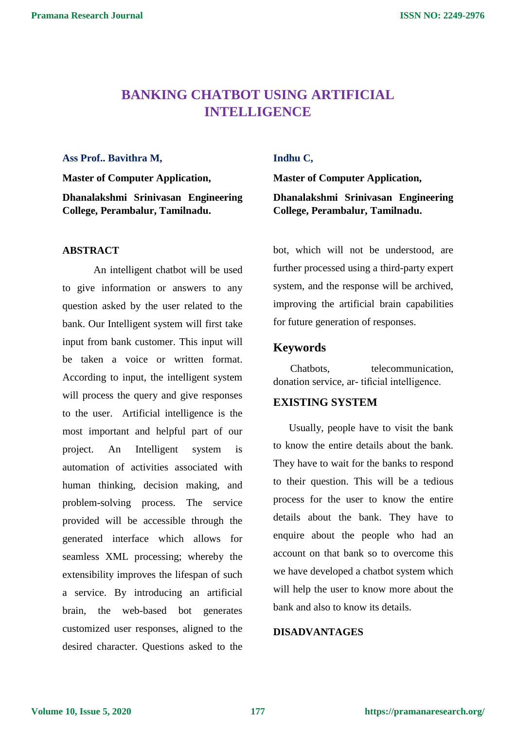# **BANKING CHATBOT USING ARTIFICIAL INTELLIGENCE**

#### **Ass Prof.. Bavithra M,**

**Master of Computer Application, Dhanalakshmi Srinivasan Engineering College, Perambalur, Tamilnadu.**

#### **ABSTRACT**

An intelligent chatbot will be used to give information or answers to any question asked by the user related to the bank. Our Intelligent system will first take input from bank customer. This input will be taken a voice or written format. According to input, the intelligent system will process the query and give responses to the user. Artificial intelligence is the most important and helpful part of our project. An Intelligent system is automation of activities associated with human thinking, decision making, and problem-solving process. The service provided will be accessible through the generated interface which allows for seamless XML processing; whereby the extensibility improves the lifespan of such a service. By introducing an artificial brain, the web-based bot generates customized user responses, aligned to the desired character. Questions asked to the

## **Indhu C,**

**Master of Computer Application,**

**Dhanalakshmi Srinivasan Engineering College, Perambalur, Tamilnadu.**

bot, which will not be understood, are further processed using a third-party expert system, and the response will be archived, improving the artificial brain capabilities for future generation of responses.

## **Keywords**

Chatbots, telecommunication, donation service, ar- tificial intelligence.

#### **EXISTING SYSTEM**

Usually, people have to visit the bank to know the entire details about the bank. They have to wait for the banks to respond to their question. This will be a tedious process for the user to know the entire details about the bank. They have to enquire about the people who had an account on that bank so to overcome this we have developed a chatbot system which will help the user to know more about the bank and also to know its details.

#### **DISADVANTAGES**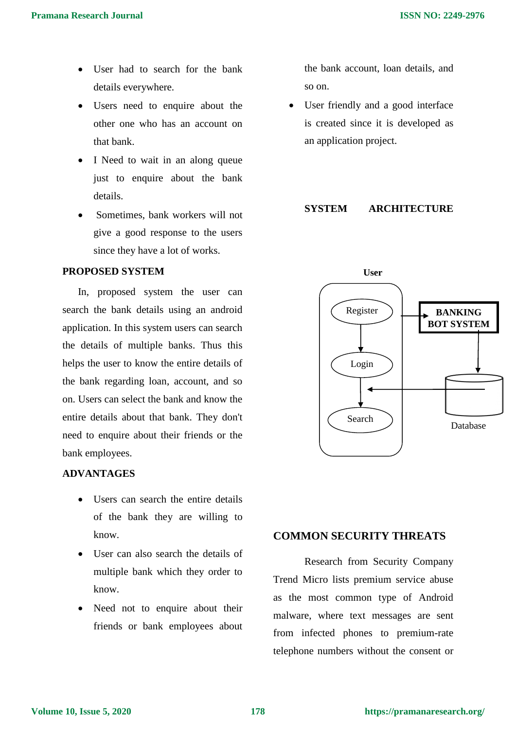- User had to search for the bank details everywhere.
- Users need to enquire about the other one who has an account on that bank.
- I Need to wait in an along queue just to enquire about the bank details.
- Sometimes, bank workers will not give a good response to the users since they have a lot of works.

#### **PROPOSED SYSTEM**

In, proposed system the user can search the bank details using an android application. In this system users can search the details of multiple banks. Thus this helps the user to know the entire details of the bank regarding loan, account, and so on. Users can select the bank and know the entire details about that bank. They don't need to enquire about their friends or the bank employees.

## **ADVANTAGES**

- Users can search the entire details of the bank they are willing to know.
- User can also search the details of multiple bank which they order to know.
- Need not to enquire about their friends or bank employees about

the bank account, loan details, and so on.

 User friendly and a good interface is created since it is developed as an application project.

#### **SYSTEM ARCHITECTURE**



# **COMMON SECURITY THREATS**

Research from Security Company Trend Micro lists premium service abuse as the most common type of Android malware, where text messages are sent from infected phones to premium-rate telephone numbers without the consent or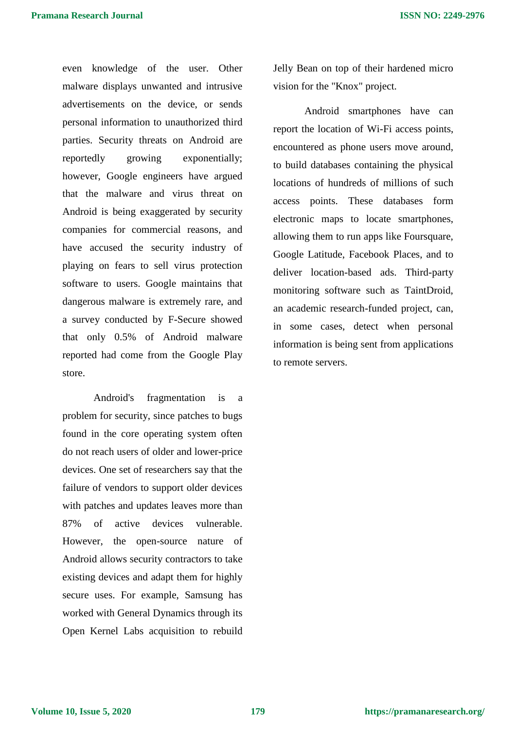even knowledge of the user. Other malware displays unwanted and intrusive advertisements on the device, or sends personal information to unauthorized third parties. Security threats on Android are reportedly growing exponentially; however, Google engineers have argued that the malware and virus threat on Android is being exaggerated by security companies for commercial reasons, and have accused the security industry of playing on fears to sell virus protection software to users. Google maintains that dangerous malware is extremely rare, and a survey conducted by F-Secure showed that only 0.5% of Android malware reported had come from the Google Play store.

Android's fragmentation is a problem for security, since patches to bugs found in the core operating system often do not reach users of older and lower-price devices. One set of researchers say that the failure of vendors to support older devices with patches and updates leaves more than 87% of active devices vulnerable. However, the open-source nature of Android allows security contractors to take existing devices and adapt them for highly secure uses. For example, Samsung has worked with General Dynamics through its Open Kernel Labs acquisition to rebuild Jelly Bean on top of their hardened micro vision for the "Knox" project.

Android smartphones have can report the location of Wi-Fi access points, encountered as phone users move around, to build databases containing the physical locations of hundreds of millions of such access points. These databases form electronic maps to locate smartphones, allowing them to run apps like Foursquare, Google Latitude, Facebook Places, and to deliver location-based ads. Third-party monitoring software such as TaintDroid, an academic research-funded project, can, in some cases, detect when personal information is being sent from applications to remote servers.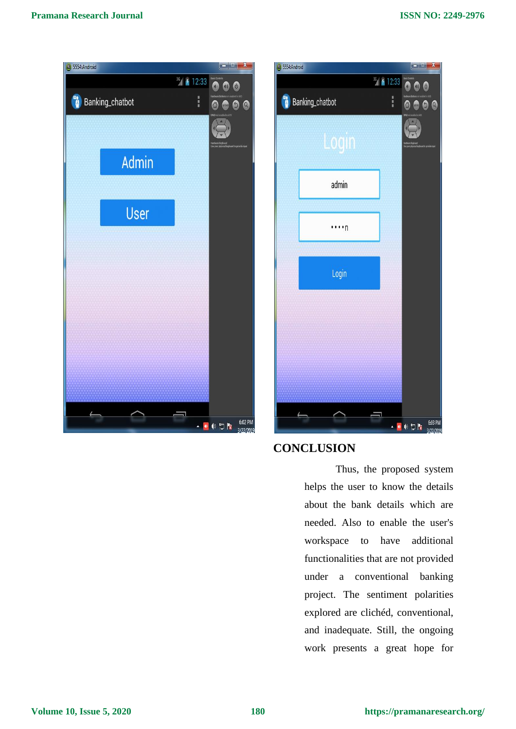



# **CONCLUSION**

Thus, the proposed system helps the user to know the details about the bank details which are needed. Also to enable the user's workspace to have additional functionalities that are not provided under a conventional banking project. The sentiment polarities explored are clichéd, conventional, and inadequate. Still, the ongoing work presents a great hope for